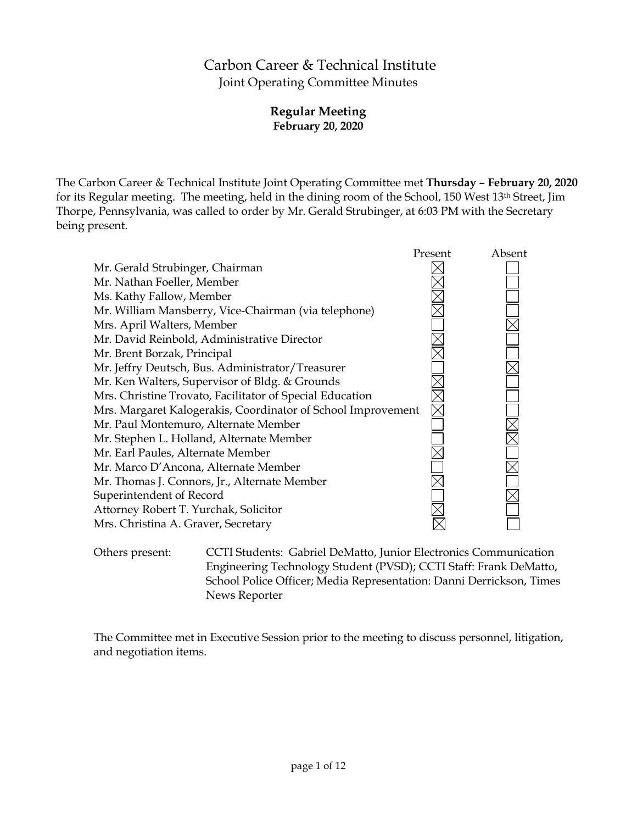# Carbon Career & Technical Institute Joint Operating Committee Minutes

## **Regular Meeting February 20, 2020**

The Carbon Career & Technical Institute Joint Operating Committee met **Thursday – February 20, 2020** for its Regular meeting. The meeting, held in the dining room of the School, 150 West 13th Street, Jim Thorpe, Pennsylvania, was called to order by Mr. Gerald Strubinger, at 6:03 PM with the Secretary being present.



Others present: CCTI Students: Gabriel DeMatto, Junior Electronics Communication Engineering Technology Student (PVSD); CCTI Staff: Frank DeMatto, School Police Officer; Media Representation: Danni Derrickson, Times News Reporter

The Committee met in Executive Session prior to the meeting to discuss personnel, litigation, and negotiation items.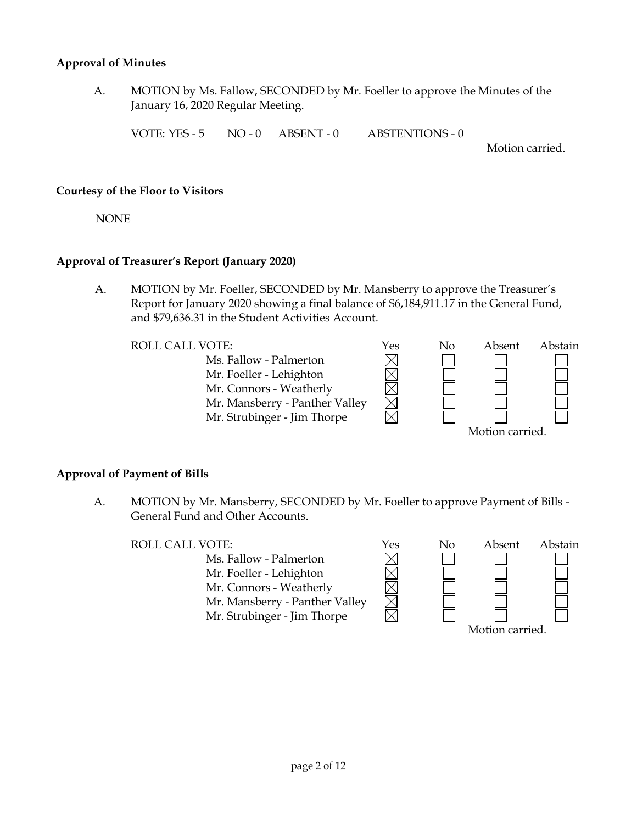#### **Approval of Minutes**

A. MOTION by Ms. Fallow, SECONDED by Mr. Foeller to approve the Minutes of the January 16, 2020 Regular Meeting.

VOTE: YES - 5 NO - 0 ABSENT - 0 ABSTENTIONS - 0

Motion carried.

#### **Courtesy of the Floor to Visitors**

NONE

#### **Approval of Treasurer's Report (January 2020)**

A. MOTION by Mr. Foeller, SECONDED by Mr. Mansberry to approve the Treasurer's Report for January 2020 showing a final balance of \$6,184,911.17 in the General Fund, and \$79,636.31 in the Student Activities Account.

Ms. Fallow - Palmerton Mr. Foeller - Lehighton Mr. Connors - Weatherly Mr. Mansberry - Panther Valley Mr. Strubinger - Jim Thorpe



#### **Approval of Payment of Bills**

A. MOTION by Mr. Mansberry, SECONDED by Mr. Foeller to approve Payment of Bills - General Fund and Other Accounts.

Ms. Fallow - Palmerton Mr. Foeller - Lehighton Mr. Connors - Weatherly Mr. Mansberry - Panther Valley Mr. Strubinger - Jim Thorpe

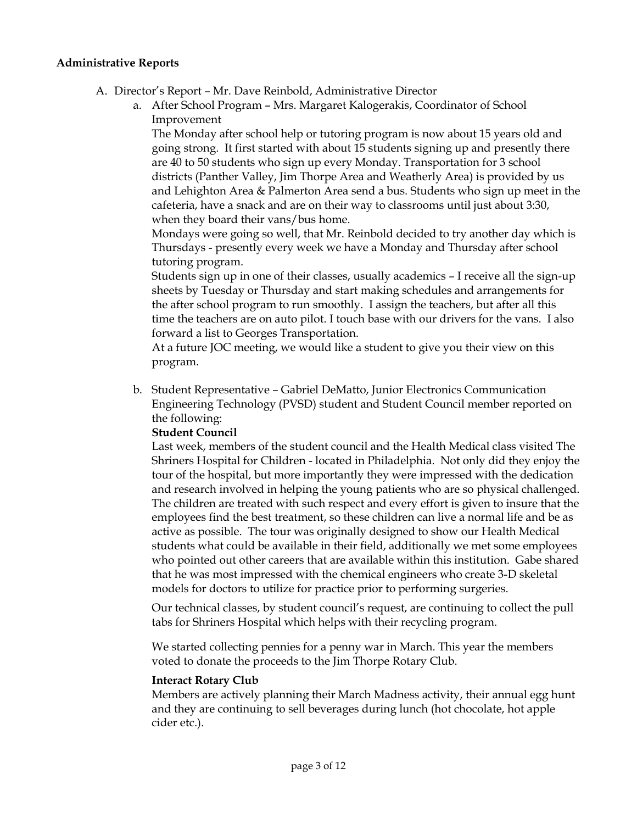#### **Administrative Reports**

- A. Director's Report Mr. Dave Reinbold, Administrative Director
	- a. After School Program Mrs. Margaret Kalogerakis, Coordinator of School Improvement

The Monday after school help or tutoring program is now about 15 years old and going strong. It first started with about 15 students signing up and presently there are 40 to 50 students who sign up every Monday. Transportation for 3 school districts (Panther Valley, Jim Thorpe Area and Weatherly Area) is provided by us and Lehighton Area & Palmerton Area send a bus. Students who sign up meet in the cafeteria, have a snack and are on their way to classrooms until just about 3:30, when they board their vans/bus home.

Mondays were going so well, that Mr. Reinbold decided to try another day which is Thursdays - presently every week we have a Monday and Thursday after school tutoring program.

Students sign up in one of their classes, usually academics – I receive all the sign-up sheets by Tuesday or Thursday and start making schedules and arrangements for the after school program to run smoothly. I assign the teachers, but after all this time the teachers are on auto pilot. I touch base with our drivers for the vans. I also forward a list to Georges Transportation.

At a future JOC meeting, we would like a student to give you their view on this program.

b. Student Representative – Gabriel DeMatto, Junior Electronics Communication Engineering Technology (PVSD) student and Student Council member reported on the following:

#### **Student Council**

Last week, members of the student council and the Health Medical class visited The Shriners Hospital for Children - located in Philadelphia. Not only did they enjoy the tour of the hospital, but more importantly they were impressed with the dedication and research involved in helping the young patients who are so physical challenged. The children are treated with such respect and every effort is given to insure that the employees find the best treatment, so these children can live a normal life and be as active as possible. The tour was originally designed to show our Health Medical students what could be available in their field, additionally we met some employees who pointed out other careers that are available within this institution. Gabe shared that he was most impressed with the chemical engineers who create 3-D skeletal models for doctors to utilize for practice prior to performing surgeries.

Our technical classes, by student council's request, are continuing to collect the pull tabs for Shriners Hospital which helps with their recycling program.

We started collecting pennies for a penny war in March. This year the members voted to donate the proceeds to the Jim Thorpe Rotary Club.

#### **Interact Rotary Club**

Members are actively planning their March Madness activity, their annual egg hunt and they are continuing to sell beverages during lunch (hot chocolate, hot apple cider etc.).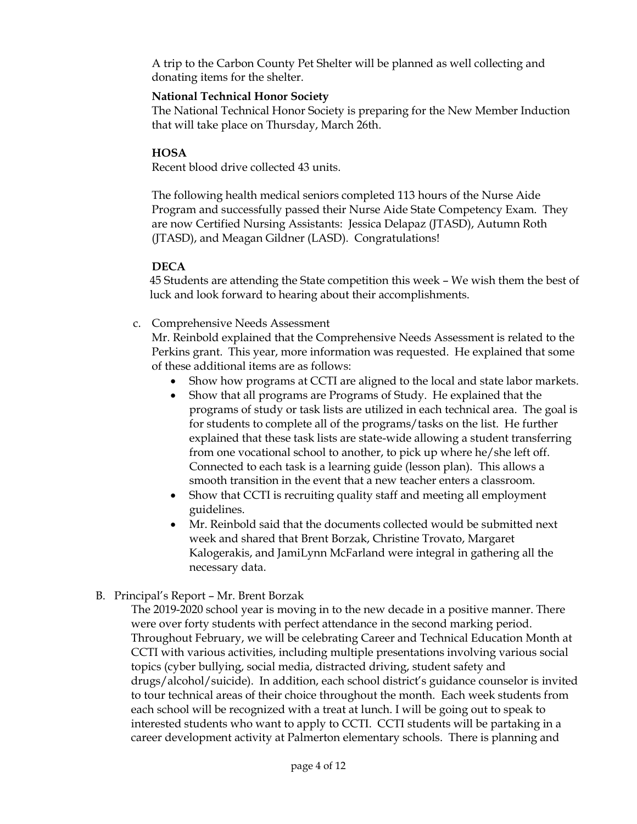A trip to the Carbon County Pet Shelter will be planned as well collecting and donating items for the shelter.

### **National Technical Honor Society**

The National Technical Honor Society is preparing for the New Member Induction that will take place on Thursday, March 26th.

### **HOSA**

Recent blood drive collected 43 units.

The following health medical seniors completed 113 hours of the Nurse Aide Program and successfully passed their Nurse Aide State Competency Exam. They are now Certified Nursing Assistants: Jessica Delapaz (JTASD), Autumn Roth (JTASD), and Meagan Gildner (LASD). Congratulations!

#### **DECA**

45 Students are attending the State competition this week – We wish them the best of luck and look forward to hearing about their accomplishments.

c. Comprehensive Needs Assessment

Mr. Reinbold explained that the Comprehensive Needs Assessment is related to the Perkins grant. This year, more information was requested. He explained that some of these additional items are as follows:

- Show how programs at CCTI are aligned to the local and state labor markets.
- Show that all programs are Programs of Study. He explained that the programs of study or task lists are utilized in each technical area. The goal is for students to complete all of the programs/tasks on the list. He further explained that these task lists are state-wide allowing a student transferring from one vocational school to another, to pick up where he/she left off. Connected to each task is a learning guide (lesson plan). This allows a smooth transition in the event that a new teacher enters a classroom.
- Show that CCTI is recruiting quality staff and meeting all employment guidelines.
- Mr. Reinbold said that the documents collected would be submitted next week and shared that Brent Borzak, Christine Trovato, Margaret Kalogerakis, and JamiLynn McFarland were integral in gathering all the necessary data.
- B. Principal's Report Mr. Brent Borzak

The 2019-2020 school year is moving in to the new decade in a positive manner. There were over forty students with perfect attendance in the second marking period. Throughout February, we will be celebrating Career and Technical Education Month at CCTI with various activities, including multiple presentations involving various social topics (cyber bullying, social media, distracted driving, student safety and drugs/alcohol/suicide). In addition, each school district's guidance counselor is invited to tour technical areas of their choice throughout the month. Each week students from each school will be recognized with a treat at lunch. I will be going out to speak to interested students who want to apply to CCTI. CCTI students will be partaking in a career development activity at Palmerton elementary schools. There is planning and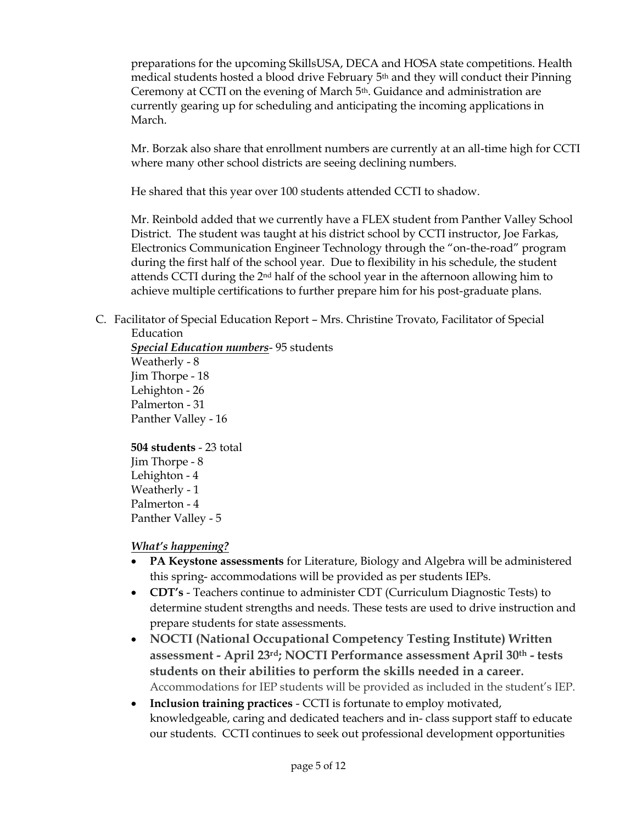preparations for the upcoming SkillsUSA, DECA and HOSA state competitions. Health medical students hosted a blood drive February 5th and they will conduct their Pinning Ceremony at CCTI on the evening of March 5<sup>th</sup>. Guidance and administration are currently gearing up for scheduling and anticipating the incoming applications in March.

Mr. Borzak also share that enrollment numbers are currently at an all-time high for CCTI where many other school districts are seeing declining numbers.

He shared that this year over 100 students attended CCTI to shadow.

Mr. Reinbold added that we currently have a FLEX student from Panther Valley School District. The student was taught at his district school by CCTI instructor, Joe Farkas, Electronics Communication Engineer Technology through the "on-the-road" program during the first half of the school year. Due to flexibility in his schedule, the student attends CCTI during the 2nd half of the school year in the afternoon allowing him to achieve multiple certifications to further prepare him for his post-graduate plans.

C. Facilitator of Special Education Report – Mrs. Christine Trovato, Facilitator of Special Education

*Special Education numbers*- 95 students Weatherly - 8 Jim Thorpe - 18 Lehighton - 26 Palmerton - 31 Panther Valley - 16

**504 students** - 23 total Jim Thorpe - 8 Lehighton - 4 Weatherly - 1 Palmerton - 4 Panther Valley - 5

## *What's happening?*

- **PA Keystone assessments** for Literature, Biology and Algebra will be administered this spring- accommodations will be provided as per students IEPs.
- **CDT's** Teachers continue to administer CDT (Curriculum Diagnostic Tests) to determine student strengths and needs. These tests are used to drive instruction and prepare students for state assessments.
- **NOCTI (National Occupational Competency Testing Institute) Written assessment - April 23rd; NOCTI Performance assessment April 30th - tests students on their abilities to perform the skills needed in a career.**  Accommodations for IEP students will be provided as included in the student's IEP.
- **Inclusion training practices** CCTI is fortunate to employ motivated, knowledgeable, caring and dedicated teachers and in- class support staff to educate our students. CCTI continues to seek out professional development opportunities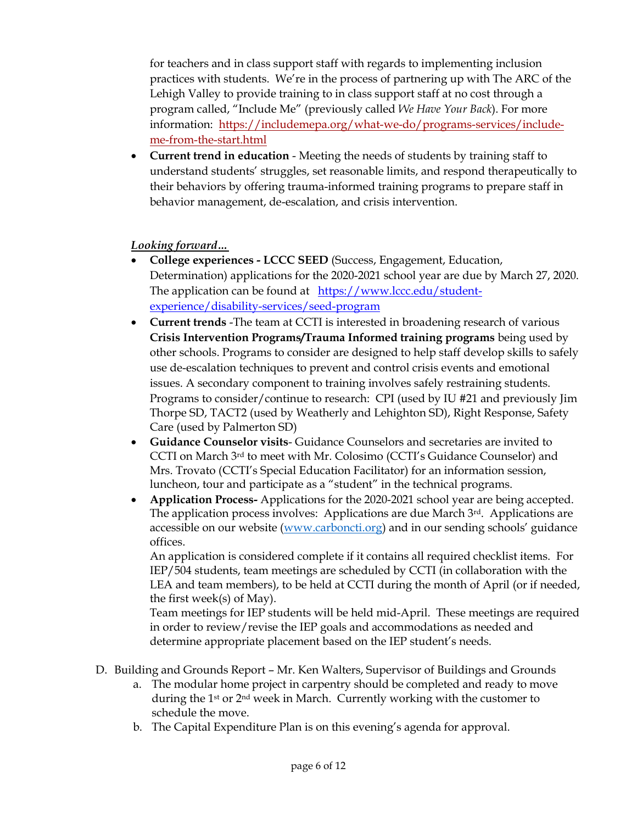for teachers and in class support staff with regards to implementing inclusion practices with students. We're in the process of partnering up with The ARC of the Lehigh Valley to provide training to in class support staff at no cost through a program called, "Include Me" (previously called *We Have Your Back*). For more information: [https://includemepa.org/what-we-do/programs-services/include](https://includemepa.org/what-we-do/programs-services/include-me-from-the-start.html)[me-from-the-start.html](https://includemepa.org/what-we-do/programs-services/include-me-from-the-start.html)

 **Current trend in education** - Meeting the needs of students by training staff to understand students' struggles, set reasonable limits, and respond therapeutically to their behaviors by offering trauma-informed training programs to prepare staff in behavior management, de-escalation, and crisis intervention.

## *Looking forward…*

- **College experiences - LCCC SEED** (Success, Engagement, Education, Determination) applications for the 2020-2021 school year are due by March 27, 2020. The application can be found at [https://www.lccc.edu/student](https://www.lccc.edu/student-experience/disability-services/seed-program)[experience/disability-services/seed-program](https://www.lccc.edu/student-experience/disability-services/seed-program)
- **Current trends** -The team at CCTI is interested in broadening research of various **Crisis Intervention Programs/Trauma Informed training programs** being used by other schools. Programs to consider are designed to help staff develop skills to safely use de-escalation techniques to prevent and control crisis events and emotional issues. A secondary component to training involves safely restraining students. Programs to consider/continue to research: CPI (used by IU #21 and previously Jim Thorpe SD, TACT2 (used by Weatherly and Lehighton SD), Right Response, Safety Care (used by Palmerton SD)
- **Guidance Counselor visits** Guidance Counselors and secretaries are invited to CCTI on March 3rd to meet with Mr. Colosimo (CCTI's Guidance Counselor) and Mrs. Trovato (CCTI's Special Education Facilitator) for an information session, luncheon, tour and participate as a "student" in the technical programs.
- **Application Process-** Applications for the 2020-2021 school year are being accepted. The application process involves: Applications are due March 3rd. Applications are accessible on our website [\(www.carboncti.org](http://www.carboncti.org/)) and in our sending schools' guidance offices.

An application is considered complete if it contains all required checklist items. For IEP/504 students, team meetings are scheduled by CCTI (in collaboration with the LEA and team members), to be held at CCTI during the month of April (or if needed, the first week(s) of May).

Team meetings for IEP students will be held mid-April. These meetings are required in order to review/revise the IEP goals and accommodations as needed and determine appropriate placement based on the IEP student's needs.

- D. Building and Grounds Report Mr. Ken Walters, Supervisor of Buildings and Grounds
	- a. The modular home project in carpentry should be completed and ready to move during the 1<sup>st</sup> or 2<sup>nd</sup> week in March. Currently working with the customer to schedule the move.
	- b. The Capital Expenditure Plan is on this evening's agenda for approval.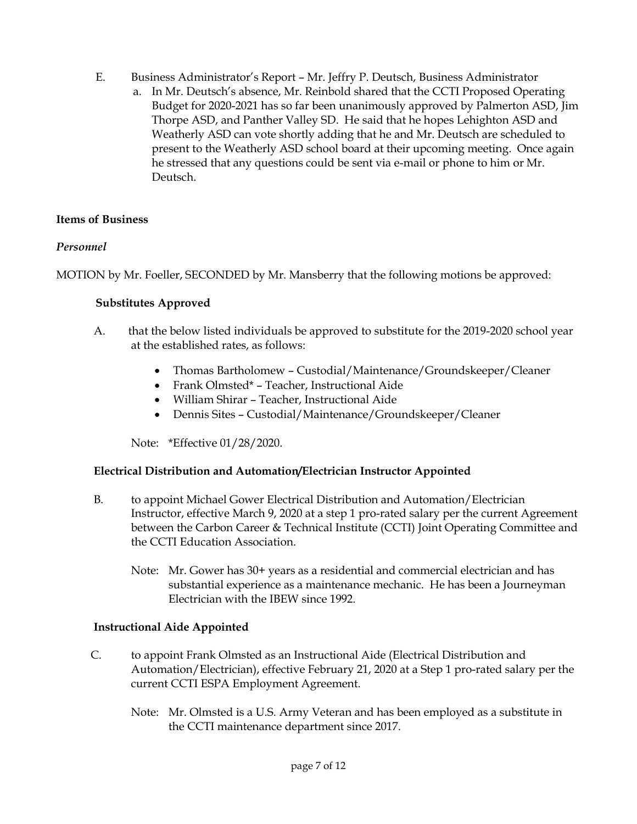- E. Business Administrator's Report Mr. Jeffry P. Deutsch, Business Administrator
	- a. In Mr. Deutsch's absence, Mr. Reinbold shared that the CCTI Proposed Operating Budget for 2020-2021 has so far been unanimously approved by Palmerton ASD, Jim Thorpe ASD, and Panther Valley SD. He said that he hopes Lehighton ASD and Weatherly ASD can vote shortly adding that he and Mr. Deutsch are scheduled to present to the Weatherly ASD school board at their upcoming meeting. Once again he stressed that any questions could be sent via e-mail or phone to him or Mr. Deutsch.

## **Items of Business**

## *Personnel*

MOTION by Mr. Foeller, SECONDED by Mr. Mansberry that the following motions be approved:

#### **Substitutes Approved**

- A. that the below listed individuals be approved to substitute for the 2019-2020 school year at the established rates, as follows:
	- Thomas Bartholomew Custodial/Maintenance/Groundskeeper/Cleaner
	- Frank Olmsted\* Teacher, Instructional Aide
	- William Shirar Teacher, Instructional Aide
	- Dennis Sites Custodial/Maintenance/Groundskeeper/Cleaner

Note: \*Effective 01/28/2020.

## **Electrical Distribution and Automation/Electrician Instructor Appointed**

- B. to appoint Michael Gower Electrical Distribution and Automation/Electrician Instructor, effective March 9, 2020 at a step 1 pro-rated salary per the current Agreement between the Carbon Career & Technical Institute (CCTI) Joint Operating Committee and the CCTI Education Association.
	- Note: Mr. Gower has 30+ years as a residential and commercial electrician and has substantial experience as a maintenance mechanic. He has been a Journeyman Electrician with the IBEW since 1992.

#### **Instructional Aide Appointed**

- C. to appoint Frank Olmsted as an Instructional Aide (Electrical Distribution and Automation/Electrician), effective February 21, 2020 at a Step 1 pro-rated salary per the current CCTI ESPA Employment Agreement.
	- Note: Mr. Olmsted is a U.S. Army Veteran and has been employed as a substitute in the CCTI maintenance department since 2017.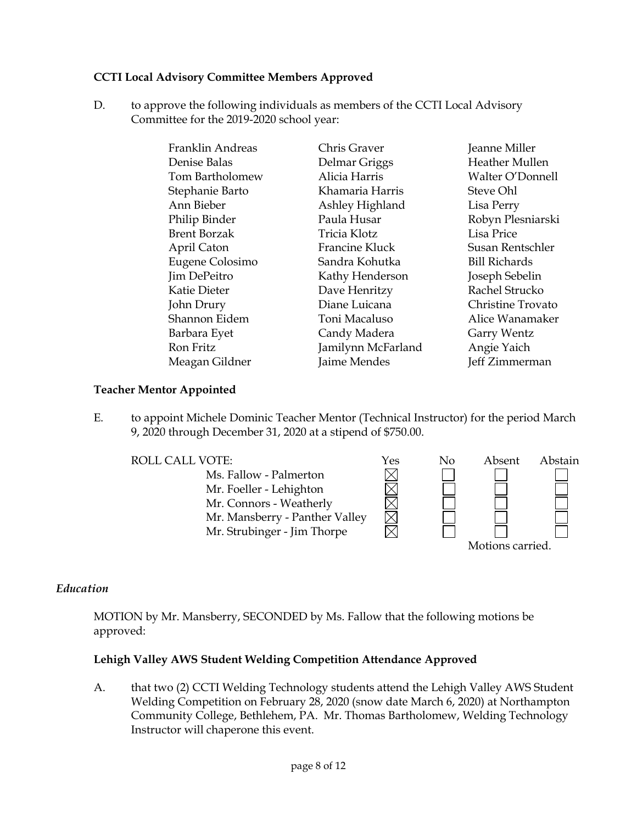## **CCTI Local Advisory Committee Members Approved**

D. to approve the following individuals as members of the CCTI Local Advisory Committee for the 2019-2020 school year:

| Franklin Andreas    | Chris Graver       | Jeanne Miller         |
|---------------------|--------------------|-----------------------|
| Denise Balas        | Delmar Griggs      | <b>Heather Mullen</b> |
| Tom Bartholomew     | Alicia Harris      | Walter O'Donnell      |
| Stephanie Barto     | Khamaria Harris    | Steve Ohl             |
| Ann Bieber          | Ashley Highland    | Lisa Perry            |
| Philip Binder       | Paula Husar        | Robyn Plesniarski     |
| <b>Brent Borzak</b> | Tricia Klotz       | Lisa Price            |
| April Caton         | Francine Kluck     | Susan Rentschler      |
| Eugene Colosimo     | Sandra Kohutka     | <b>Bill Richards</b>  |
| Jim DePeitro        | Kathy Henderson    | Joseph Sebelin        |
| <b>Katie Dieter</b> | Dave Henritzy      | Rachel Strucko        |
| John Drury          | Diane Luicana      | Christine Trovato     |
| Shannon Eidem       | Toni Macaluso      | Alice Wanamaker       |
| Barbara Eyet        | Candy Madera       | Garry Wentz           |
| Ron Fritz           | Jamilynn McFarland | Angie Yaich           |
| Meagan Gildner      | Jaime Mendes       | Jeff Zimmerman        |

#### **Teacher Mentor Appointed**

E. to appoint Michele Dominic Teacher Mentor (Technical Instructor) for the period March 9, 2020 through December 31, 2020 at a stipend of \$750.00.



#### *Education*

MOTION by Mr. Mansberry, SECONDED by Ms. Fallow that the following motions be approved:

#### **Lehigh Valley AWS Student Welding Competition Attendance Approved**

A. that two (2) CCTI Welding Technology students attend the Lehigh Valley AWS Student Welding Competition on February 28, 2020 (snow date March 6, 2020) at Northampton Community College, Bethlehem, PA. Mr. Thomas Bartholomew, Welding Technology Instructor will chaperone this event.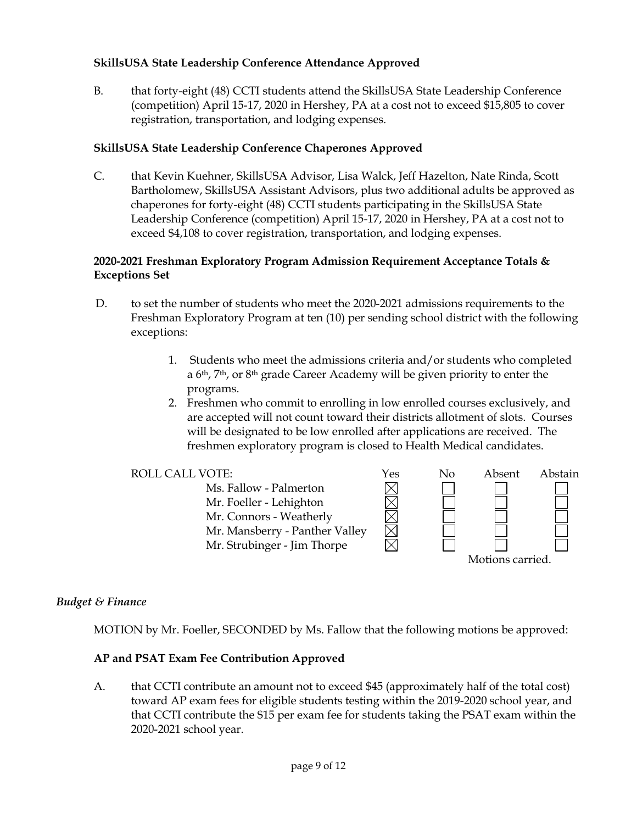### **SkillsUSA State Leadership Conference Attendance Approved**

B. that forty-eight (48) CCTI students attend the SkillsUSA State Leadership Conference (competition) April 15-17, 2020 in Hershey, PA at a cost not to exceed \$15,805 to cover registration, transportation, and lodging expenses.

#### **SkillsUSA State Leadership Conference Chaperones Approved**

C. that Kevin Kuehner, SkillsUSA Advisor, Lisa Walck, Jeff Hazelton, Nate Rinda, Scott Bartholomew, SkillsUSA Assistant Advisors, plus two additional adults be approved as chaperones for forty-eight (48) CCTI students participating in the SkillsUSA State Leadership Conference (competition) April 15-17, 2020 in Hershey, PA at a cost not to exceed \$4,108 to cover registration, transportation, and lodging expenses.

#### **2020-2021 Freshman Exploratory Program Admission Requirement Acceptance Totals & Exceptions Set**

- D. to set the number of students who meet the 2020-2021 admissions requirements to the Freshman Exploratory Program at ten (10) per sending school district with the following exceptions:
	- 1. Students who meet the admissions criteria and/or students who completed a 6th, 7th, or 8th grade Career Academy will be given priority to enter the programs.
	- 2. Freshmen who commit to enrolling in low enrolled courses exclusively, and are accepted will not count toward their districts allotment of slots. Courses will be designated to be low enrolled after applications are received. The freshmen exploratory program is closed to Health Medical candidates.

MMMM

Ms. Fallow - Palmerton Mr. Foeller - Lehighton Mr. Connors - Weatherly Mr. Mansberry - Panther Valley Mr. Strubinger - Jim Thorpe



## *Budget & Finance*

MOTION by Mr. Foeller, SECONDED by Ms. Fallow that the following motions be approved:

#### **AP and PSAT Exam Fee Contribution Approved**

A. that CCTI contribute an amount not to exceed \$45 (approximately half of the total cost) toward AP exam fees for eligible students testing within the 2019-2020 school year, and that CCTI contribute the \$15 per exam fee for students taking the PSAT exam within the 2020-2021 school year.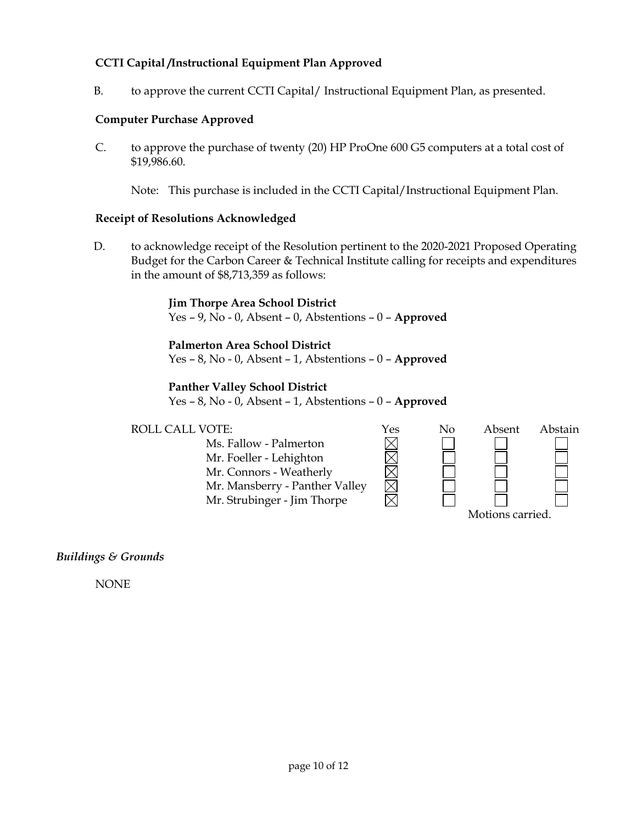## **CCTI Capital /Instructional Equipment Plan Approved**

B. to approve the current CCTI Capital/ Instructional Equipment Plan, as presented.

#### **Computer Purchase Approved**

C. to approve the purchase of twenty (20) HP ProOne 600 G5 computers at a total cost of \$19,986.60.

Note: This purchase is included in the CCTI Capital/Instructional Equipment Plan.

#### **Receipt of Resolutions Acknowledged**

D. to acknowledge receipt of the Resolution pertinent to the 2020-2021 Proposed Operating Budget for the Carbon Career & Technical Institute calling for receipts and expenditures in the amount of \$8,713,359 as follows:

#### **Jim Thorpe Area School District**

Yes – 9, No - 0, Absent – 0, Abstentions – 0 – **Approved**

#### **Palmerton Area School District**

Yes – 8, No - 0, Absent – 1, Abstentions – 0 – **Approved**

#### **Panther Valley School District**

Yes – 8, No - 0, Absent – 1, Abstentions – 0 – **Approved**



## *Buildings & Grounds*

NONE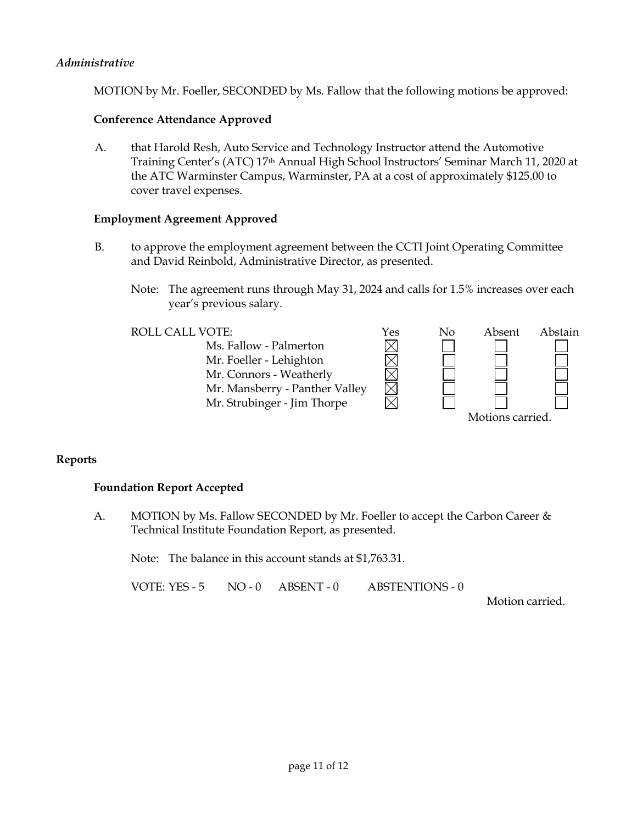#### *Administrative*

MOTION by Mr. Foeller, SECONDED by Ms. Fallow that the following motions be approved:

#### **Conference Attendance Approved**

A. that Harold Resh, Auto Service and Technology Instructor attend the Automotive Training Center's (ATC) 17th Annual High School Instructors' Seminar March 11, 2020 at the ATC Warminster Campus, Warminster, PA at a cost of approximately \$125.00 to cover travel expenses.

#### **Employment Agreement Approved**

- B. to approve the employment agreement between the CCTI Joint Operating Committee and David Reinbold, Administrative Director, as presented.
	- Note: The agreement runs through May 31, 2024 and calls for 1.5% increases over each year's previous salary.



## **Reports**

#### **Foundation Report Accepted**

A. MOTION by Ms. Fallow SECONDED by Mr. Foeller to accept the Carbon Career & Technical Institute Foundation Report, as presented.

Note: The balance in this account stands at \$1,763.31.

VOTE: YES - 5 NO - 0 ABSENT - 0 ABSTENTIONS - 0

Motion carried.